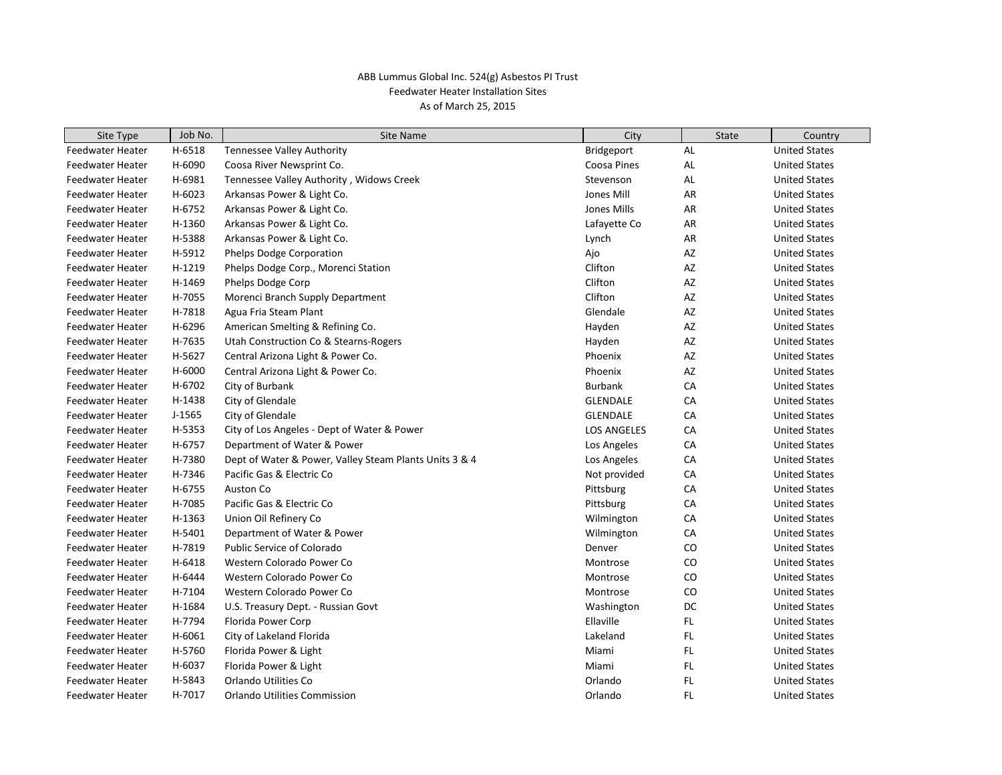| Site Type               | Job No.  | <b>Site Name</b>                                       | City               | <b>State</b> | Country              |
|-------------------------|----------|--------------------------------------------------------|--------------------|--------------|----------------------|
| <b>Feedwater Heater</b> | H-6518   | <b>Tennessee Valley Authority</b>                      | Bridgeport         | AL           | <b>United States</b> |
| Feedwater Heater        | H-6090   | Coosa River Newsprint Co.                              | Coosa Pines        | AL           | <b>United States</b> |
| Feedwater Heater        | H-6981   | Tennessee Valley Authority, Widows Creek               | Stevenson          | AL           | <b>United States</b> |
| Feedwater Heater        | H-6023   | Arkansas Power & Light Co.                             | Jones Mill         | AR           | <b>United States</b> |
| Feedwater Heater        | H-6752   | Arkansas Power & Light Co.                             | Jones Mills        | AR           | <b>United States</b> |
| Feedwater Heater        | H-1360   | Arkansas Power & Light Co.                             | Lafayette Co       | AR           | <b>United States</b> |
| Feedwater Heater        | H-5388   | Arkansas Power & Light Co.                             | Lynch              | AR           | <b>United States</b> |
| Feedwater Heater        | H-5912   | Phelps Dodge Corporation                               | Ajo                | AZ           | <b>United States</b> |
| Feedwater Heater        | H-1219   | Phelps Dodge Corp., Morenci Station                    | Clifton            | AZ           | <b>United States</b> |
| Feedwater Heater        | H-1469   | Phelps Dodge Corp                                      | Clifton            | AZ           | <b>United States</b> |
| Feedwater Heater        | H-7055   | Morenci Branch Supply Department                       | Clifton            | AZ           | <b>United States</b> |
| Feedwater Heater        | H-7818   | Agua Fria Steam Plant                                  | Glendale           | AZ           | <b>United States</b> |
| Feedwater Heater        | H-6296   | American Smelting & Refining Co.                       | Hayden             | AZ           | <b>United States</b> |
| Feedwater Heater        | H-7635   | Utah Construction Co & Stearns-Rogers                  | Hayden             | AZ           | <b>United States</b> |
| Feedwater Heater        | H-5627   | Central Arizona Light & Power Co.                      | Phoenix            | AZ           | <b>United States</b> |
| Feedwater Heater        | H-6000   | Central Arizona Light & Power Co.                      | Phoenix            | AZ           | <b>United States</b> |
| Feedwater Heater        | H-6702   | City of Burbank                                        | <b>Burbank</b>     | CA           | <b>United States</b> |
| Feedwater Heater        | H-1438   | City of Glendale                                       | <b>GLENDALE</b>    | CA           | <b>United States</b> |
| Feedwater Heater        | $J-1565$ | City of Glendale                                       | <b>GLENDALE</b>    | CA           | <b>United States</b> |
| Feedwater Heater        | H-5353   | City of Los Angeles - Dept of Water & Power            | <b>LOS ANGELES</b> | CA           | <b>United States</b> |
| Feedwater Heater        | H-6757   | Department of Water & Power                            | Los Angeles        | CA           | <b>United States</b> |
| Feedwater Heater        | H-7380   | Dept of Water & Power, Valley Steam Plants Units 3 & 4 | Los Angeles        | CA           | <b>United States</b> |
| Feedwater Heater        | H-7346   | Pacific Gas & Electric Co                              | Not provided       | CA           | <b>United States</b> |
| Feedwater Heater        | H-6755   | Auston Co                                              | Pittsburg          | CA           | <b>United States</b> |
| Feedwater Heater        | H-7085   | Pacific Gas & Electric Co                              | Pittsburg          | CA           | <b>United States</b> |
| Feedwater Heater        | H-1363   | Union Oil Refinery Co                                  | Wilmington         | CA           | <b>United States</b> |
| Feedwater Heater        | H-5401   | Department of Water & Power                            | Wilmington         | СA           | <b>United States</b> |
| Feedwater Heater        | H-7819   | Public Service of Colorado                             | Denver             | CO           | <b>United States</b> |
| Feedwater Heater        | H-6418   | Western Colorado Power Co                              | Montrose           | CO           | <b>United States</b> |
| Feedwater Heater        | H-6444   | Western Colorado Power Co                              | Montrose           | CO           | <b>United States</b> |
| Feedwater Heater        | H-7104   | Western Colorado Power Co                              | Montrose           | CO           | <b>United States</b> |
| <b>Feedwater Heater</b> | H-1684   | U.S. Treasury Dept. - Russian Govt                     | Washington         | DC           | <b>United States</b> |
| Feedwater Heater        | H-7794   | Florida Power Corp                                     | Ellaville          | FL.          | <b>United States</b> |
| <b>Feedwater Heater</b> | H-6061   | City of Lakeland Florida                               | Lakeland           | <b>FL</b>    | <b>United States</b> |
| Feedwater Heater        | H-5760   | Florida Power & Light                                  | Miami              | <b>FL</b>    | <b>United States</b> |
| Feedwater Heater        | H-6037   | Florida Power & Light                                  | Miami              | <b>FL</b>    | <b>United States</b> |
| Feedwater Heater        | H-5843   | Orlando Utilities Co                                   | Orlando            | <b>FL</b>    | <b>United States</b> |
| Feedwater Heater        | H-7017   | <b>Orlando Utilities Commission</b>                    | Orlando            | FL.          | <b>United States</b> |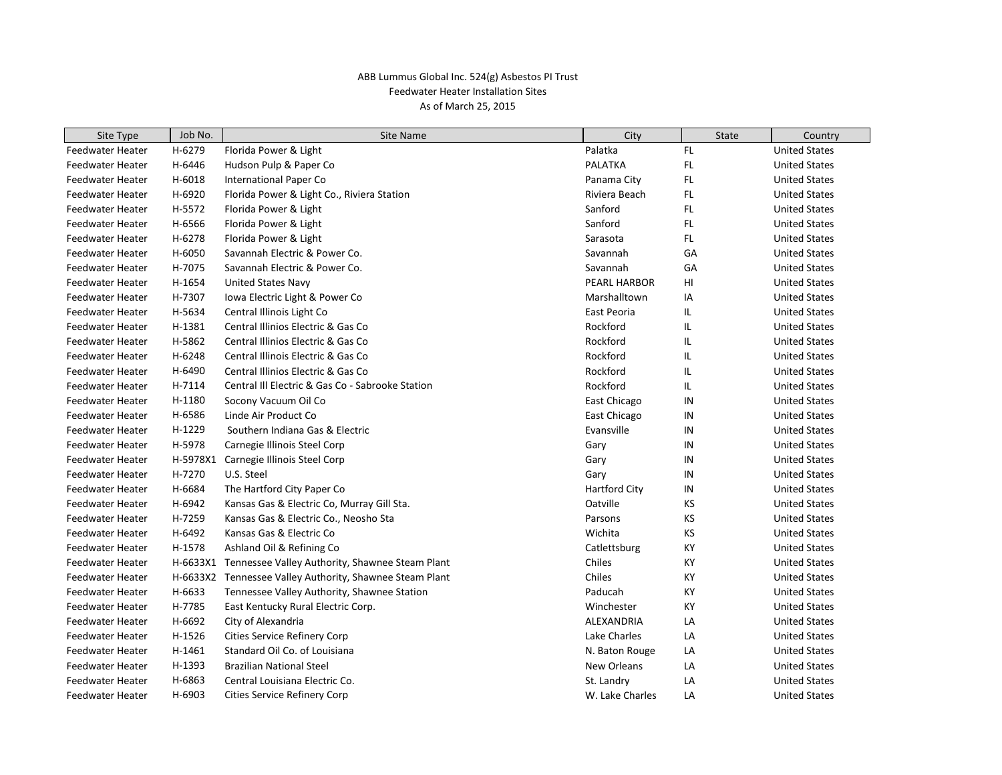| Site Type               | Job No.  | Site Name                                        | City                 | <b>State</b> | Country              |
|-------------------------|----------|--------------------------------------------------|----------------------|--------------|----------------------|
| <b>Feedwater Heater</b> | H-6279   | Florida Power & Light                            | Palatka              | <b>FL</b>    | <b>United States</b> |
| <b>Feedwater Heater</b> | H-6446   | Hudson Pulp & Paper Co                           | <b>PALATKA</b>       | <b>FL</b>    | <b>United States</b> |
| Feedwater Heater        | H-6018   | <b>International Paper Co</b>                    | Panama City          | <b>FL</b>    | <b>United States</b> |
| <b>Feedwater Heater</b> | H-6920   | Florida Power & Light Co., Riviera Station       | Riviera Beach        | <b>FL</b>    | <b>United States</b> |
| Feedwater Heater        | H-5572   | Florida Power & Light                            | Sanford              | FL           | <b>United States</b> |
| Feedwater Heater        | H-6566   | Florida Power & Light                            | Sanford              | <b>FL</b>    | <b>United States</b> |
| Feedwater Heater        | H-6278   | Florida Power & Light                            | Sarasota             | <b>FL</b>    | <b>United States</b> |
| Feedwater Heater        | H-6050   | Savannah Electric & Power Co.                    | Savannah             | GA           | <b>United States</b> |
| Feedwater Heater        | H-7075   | Savannah Electric & Power Co.                    | Savannah             | GA           | <b>United States</b> |
| Feedwater Heater        | H-1654   | <b>United States Navy</b>                        | <b>PEARL HARBOR</b>  | HI           | <b>United States</b> |
| Feedwater Heater        | H-7307   | Iowa Electric Light & Power Co                   | Marshalltown         | ΙA           | <b>United States</b> |
| Feedwater Heater        | H-5634   | Central Illinois Light Co                        | East Peoria          | IL           | <b>United States</b> |
| Feedwater Heater        | H-1381   | Central Illinios Electric & Gas Co               | Rockford             | IL           | <b>United States</b> |
| Feedwater Heater        | H-5862   | Central Illinios Electric & Gas Co               | Rockford             | IL           | <b>United States</b> |
| Feedwater Heater        | H-6248   | Central Illinois Electric & Gas Co               | Rockford             | IL           | <b>United States</b> |
| Feedwater Heater        | H-6490   | Central Illinios Electric & Gas Co               | Rockford             | IL           | <b>United States</b> |
| Feedwater Heater        | H-7114   | Central III Electric & Gas Co - Sabrooke Station | Rockford             | IL           | <b>United States</b> |
| Feedwater Heater        | H-1180   | Socony Vacuum Oil Co                             | East Chicago         | IN           | <b>United States</b> |
| Feedwater Heater        | H-6586   | Linde Air Product Co                             | East Chicago         | IN           | <b>United States</b> |
| Feedwater Heater        | H-1229   | Southern Indiana Gas & Electric                  | Evansville           | IN           | <b>United States</b> |
| Feedwater Heater        | H-5978   | Carnegie Illinois Steel Corp                     | Gary                 | IN           | <b>United States</b> |
| Feedwater Heater        | H-5978X1 | Carnegie Illinois Steel Corp                     | Gary                 | IN           | <b>United States</b> |
| Feedwater Heater        | H-7270   | U.S. Steel                                       | Gary                 | IN           | <b>United States</b> |
| Feedwater Heater        | H-6684   | The Hartford City Paper Co                       | <b>Hartford City</b> | IN           | <b>United States</b> |
| Feedwater Heater        | H-6942   | Kansas Gas & Electric Co, Murray Gill Sta.       | Oatville             | ΚS           | <b>United States</b> |
| Feedwater Heater        | H-7259   | Kansas Gas & Electric Co., Neosho Sta            | Parsons              | KS           | <b>United States</b> |
| Feedwater Heater        | H-6492   | Kansas Gas & Electric Co                         | Wichita              | KS           | <b>United States</b> |
| Feedwater Heater        | H-1578   | Ashland Oil & Refining Co                        | Catlettsburg         | KY           | <b>United States</b> |
| Feedwater Heater        | H-6633X1 | Tennessee Valley Authority, Shawnee Steam Plant  | Chiles               | KY           | <b>United States</b> |
| Feedwater Heater        | H-6633X2 | Tennessee Valley Authority, Shawnee Steam Plant  | Chiles               | KY           | <b>United States</b> |
| Feedwater Heater        | H-6633   | Tennessee Valley Authority, Shawnee Station      | Paducah              | KY           | <b>United States</b> |
| Feedwater Heater        | H-7785   | East Kentucky Rural Electric Corp.               | Winchester           | KY           | <b>United States</b> |
| Feedwater Heater        | H-6692   | City of Alexandria                               | ALEXANDRIA           | LA           | <b>United States</b> |
| Feedwater Heater        | H-1526   | Cities Service Refinery Corp                     | Lake Charles         | LA           | <b>United States</b> |
| Feedwater Heater        | H-1461   | Standard Oil Co. of Louisiana                    | N. Baton Rouge       | LA           | <b>United States</b> |
| Feedwater Heater        | H-1393   | <b>Brazilian National Steel</b>                  | New Orleans          | LA           | <b>United States</b> |
| Feedwater Heater        | H-6863   | Central Louisiana Electric Co.                   | St. Landry           | LA           | <b>United States</b> |
| Feedwater Heater        | H-6903   | <b>Cities Service Refinery Corp</b>              | W. Lake Charles      | LA           | <b>United States</b> |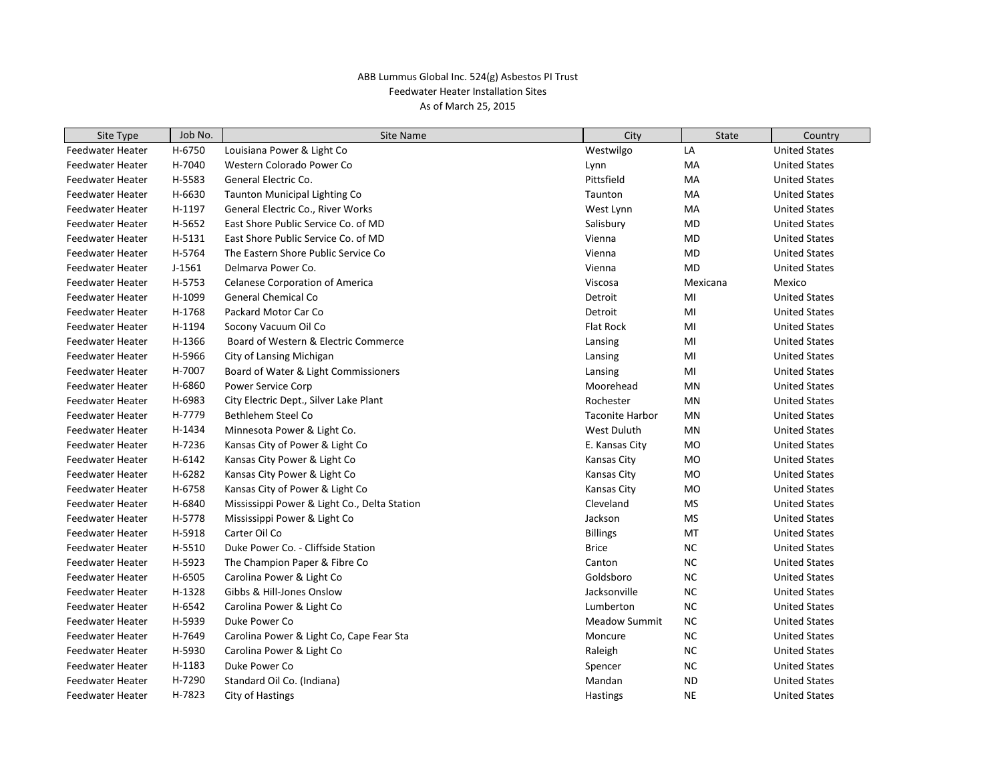| Site Type               | Job No.  | Site Name                                    | City                   | <b>State</b> | Country              |
|-------------------------|----------|----------------------------------------------|------------------------|--------------|----------------------|
| Feedwater Heater        | H-6750   | Louisiana Power & Light Co                   | Westwilgo              | LA           | <b>United States</b> |
| <b>Feedwater Heater</b> | H-7040   | Western Colorado Power Co                    | Lynn                   | MA           | <b>United States</b> |
| Feedwater Heater        | H-5583   | General Electric Co.                         | Pittsfield             | МA           | <b>United States</b> |
| <b>Feedwater Heater</b> | H-6630   | Taunton Municipal Lighting Co                | Taunton                | МA           | <b>United States</b> |
| Feedwater Heater        | H-1197   | General Electric Co., River Works            | West Lynn              | МA           | <b>United States</b> |
| Feedwater Heater        | H-5652   | East Shore Public Service Co. of MD          | Salisbury              | MD           | <b>United States</b> |
| Feedwater Heater        | H-5131   | East Shore Public Service Co. of MD          | Vienna                 | MD           | <b>United States</b> |
| Feedwater Heater        | H-5764   | The Eastern Shore Public Service Co          | Vienna                 | <b>MD</b>    | <b>United States</b> |
| Feedwater Heater        | $J-1561$ | Delmarya Power Co.                           | Vienna                 | MD           | <b>United States</b> |
| Feedwater Heater        | H-5753   | <b>Celanese Corporation of America</b>       | Viscosa                | Mexicana     | Mexico               |
| Feedwater Heater        | H-1099   | <b>General Chemical Co</b>                   | Detroit                | MI           | <b>United States</b> |
| Feedwater Heater        | H-1768   | Packard Motor Car Co                         | Detroit                | MI           | <b>United States</b> |
| Feedwater Heater        | H-1194   | Socony Vacuum Oil Co                         | Flat Rock              | MI           | <b>United States</b> |
| Feedwater Heater        | H-1366   | Board of Western & Electric Commerce         | Lansing                | MI           | <b>United States</b> |
| Feedwater Heater        | H-5966   | City of Lansing Michigan                     | Lansing                | MI           | <b>United States</b> |
| Feedwater Heater        | H-7007   | Board of Water & Light Commissioners         | Lansing                | MI           | <b>United States</b> |
| Feedwater Heater        | H-6860   | <b>Power Service Corp</b>                    | Moorehead              | <b>MN</b>    | <b>United States</b> |
| Feedwater Heater        | H-6983   | City Electric Dept., Silver Lake Plant       | Rochester              | MN           | <b>United States</b> |
| Feedwater Heater        | H-7779   | Bethlehem Steel Co                           | <b>Taconite Harbor</b> | MN           | <b>United States</b> |
| Feedwater Heater        | H-1434   | Minnesota Power & Light Co.                  | West Duluth            | MN           | <b>United States</b> |
| Feedwater Heater        | H-7236   | Kansas City of Power & Light Co              | E. Kansas City         | <b>MO</b>    | <b>United States</b> |
| Feedwater Heater        | H-6142   | Kansas City Power & Light Co                 | <b>Kansas City</b>     | MO           | <b>United States</b> |
| Feedwater Heater        | H-6282   | Kansas City Power & Light Co                 | Kansas City            | <b>MO</b>    | <b>United States</b> |
| Feedwater Heater        | H-6758   | Kansas City of Power & Light Co              | Kansas City            | <b>MO</b>    | <b>United States</b> |
| Feedwater Heater        | H-6840   | Mississippi Power & Light Co., Delta Station | Cleveland              | <b>MS</b>    | <b>United States</b> |
| Feedwater Heater        | H-5778   | Mississippi Power & Light Co                 | Jackson                | MS           | <b>United States</b> |
| Feedwater Heater        | H-5918   | Carter Oil Co                                | <b>Billings</b>        | MT           | <b>United States</b> |
| Feedwater Heater        | H-5510   | Duke Power Co. - Cliffside Station           | <b>Brice</b>           | <b>NC</b>    | <b>United States</b> |
| Feedwater Heater        | H-5923   | The Champion Paper & Fibre Co                | Canton                 | <b>NC</b>    | <b>United States</b> |
| Feedwater Heater        | H-6505   | Carolina Power & Light Co                    | Goldsboro              | <b>NC</b>    | <b>United States</b> |
| Feedwater Heater        | H-1328   | Gibbs & Hill-Jones Onslow                    | Jacksonville           | <b>NC</b>    | <b>United States</b> |
| Feedwater Heater        | H-6542   | Carolina Power & Light Co                    | Lumberton              | <b>NC</b>    | <b>United States</b> |
| Feedwater Heater        | H-5939   | Duke Power Co                                | <b>Meadow Summit</b>   | $NC$         | <b>United States</b> |
| Feedwater Heater        | H-7649   | Carolina Power & Light Co, Cape Fear Sta     | Moncure                | <b>NC</b>    | <b>United States</b> |
| Feedwater Heater        | H-5930   | Carolina Power & Light Co                    | Raleigh                | <b>NC</b>    | <b>United States</b> |
| Feedwater Heater        | H-1183   | Duke Power Co                                | Spencer                | <b>NC</b>    | <b>United States</b> |
| Feedwater Heater        | H-7290   | Standard Oil Co. (Indiana)                   | Mandan                 | <b>ND</b>    | <b>United States</b> |
| Feedwater Heater        | H-7823   | City of Hastings                             | <b>Hastings</b>        | <b>NE</b>    | <b>United States</b> |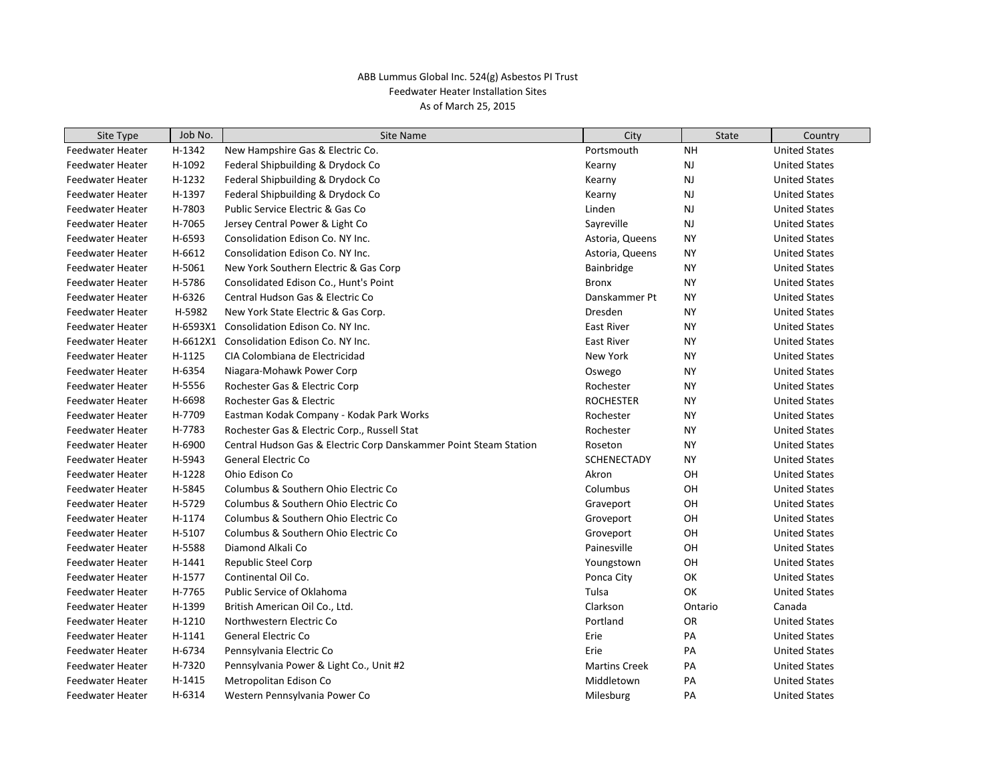| Site Type               | Job No.  | <b>Site Name</b>                                                  | City                 | <b>State</b> | Country              |
|-------------------------|----------|-------------------------------------------------------------------|----------------------|--------------|----------------------|
| <b>Feedwater Heater</b> | H-1342   | New Hampshire Gas & Electric Co.                                  | Portsmouth           | <b>NH</b>    | <b>United States</b> |
| <b>Feedwater Heater</b> | H-1092   | Federal Shipbuilding & Drydock Co                                 | Kearny               | <b>NJ</b>    | <b>United States</b> |
| <b>Feedwater Heater</b> | H-1232   | Federal Shipbuilding & Drydock Co                                 | Kearny               | <b>NJ</b>    | <b>United States</b> |
| <b>Feedwater Heater</b> | H-1397   | Federal Shipbuilding & Drydock Co                                 | Kearny               | <b>NJ</b>    | <b>United States</b> |
| <b>Feedwater Heater</b> | H-7803   | Public Service Electric & Gas Co                                  | Linden               | NJ           | <b>United States</b> |
| <b>Feedwater Heater</b> | H-7065   | Jersey Central Power & Light Co                                   | Sayreville           | <b>NJ</b>    | <b>United States</b> |
| <b>Feedwater Heater</b> | H-6593   | Consolidation Edison Co. NY Inc.                                  | Astoria, Queens      | <b>NY</b>    | <b>United States</b> |
| <b>Feedwater Heater</b> | H-6612   | Consolidation Edison Co. NY Inc.                                  | Astoria, Queens      | ΝY           | <b>United States</b> |
| <b>Feedwater Heater</b> | H-5061   | New York Southern Electric & Gas Corp                             | Bainbridge           | <b>NY</b>    | <b>United States</b> |
| <b>Feedwater Heater</b> | H-5786   | Consolidated Edison Co., Hunt's Point                             | <b>Bronx</b>         | ΝY           | <b>United States</b> |
| <b>Feedwater Heater</b> | H-6326   | Central Hudson Gas & Electric Co                                  | Danskammer Pt        | NY           | <b>United States</b> |
| <b>Feedwater Heater</b> | H-5982   | New York State Electric & Gas Corp.                               | Dresden              | <b>NY</b>    | <b>United States</b> |
| <b>Feedwater Heater</b> | H-6593X1 | Consolidation Edison Co. NY Inc.                                  | <b>East River</b>    | <b>NY</b>    | <b>United States</b> |
| <b>Feedwater Heater</b> | H-6612X1 | Consolidation Edison Co. NY Inc.                                  | <b>East River</b>    | <b>NY</b>    | <b>United States</b> |
| <b>Feedwater Heater</b> | H-1125   | CIA Colombiana de Electricidad                                    | New York             | <b>NY</b>    | <b>United States</b> |
| <b>Feedwater Heater</b> | H-6354   | Niagara-Mohawk Power Corp                                         | Oswego               | <b>NY</b>    | <b>United States</b> |
| <b>Feedwater Heater</b> | H-5556   | Rochester Gas & Electric Corp                                     | Rochester            | NY           | <b>United States</b> |
| <b>Feedwater Heater</b> | H-6698   | Rochester Gas & Electric                                          | <b>ROCHESTER</b>     | ΝY           | <b>United States</b> |
| <b>Feedwater Heater</b> | H-7709   | Eastman Kodak Company - Kodak Park Works                          | Rochester            | <b>NY</b>    | <b>United States</b> |
| <b>Feedwater Heater</b> | H-7783   | Rochester Gas & Electric Corp., Russell Stat                      | Rochester            | <b>NY</b>    | <b>United States</b> |
| <b>Feedwater Heater</b> | H-6900   | Central Hudson Gas & Electric Corp Danskammer Point Steam Station | Roseton              | ΝY           | <b>United States</b> |
| <b>Feedwater Heater</b> | H-5943   | <b>General Electric Co</b>                                        | <b>SCHENECTADY</b>   | NY           | <b>United States</b> |
| <b>Feedwater Heater</b> | H-1228   | Ohio Edison Co                                                    | Akron                | OH           | <b>United States</b> |
| <b>Feedwater Heater</b> | H-5845   | Columbus & Southern Ohio Electric Co                              | Columbus             | OН           | <b>United States</b> |
| <b>Feedwater Heater</b> | H-5729   | Columbus & Southern Ohio Electric Co                              | Graveport            | OH           | <b>United States</b> |
| <b>Feedwater Heater</b> | H-1174   | Columbus & Southern Ohio Electric Co                              | Groveport            | OH           | <b>United States</b> |
| <b>Feedwater Heater</b> | H-5107   | Columbus & Southern Ohio Electric Co                              | Groveport            | OН           | <b>United States</b> |
| <b>Feedwater Heater</b> | H-5588   | Diamond Alkali Co                                                 | Painesville          | OH           | <b>United States</b> |
| <b>Feedwater Heater</b> | H-1441   | <b>Republic Steel Corp</b>                                        | Youngstown           | OН           | <b>United States</b> |
| <b>Feedwater Heater</b> | H-1577   | Continental Oil Co.                                               | Ponca City           | OK           | <b>United States</b> |
| <b>Feedwater Heater</b> | H-7765   | Public Service of Oklahoma                                        | Tulsa                | OK           | <b>United States</b> |
| <b>Feedwater Heater</b> | H-1399   | British American Oil Co., Ltd.                                    | Clarkson             | Ontario      | Canada               |
| <b>Feedwater Heater</b> | H-1210   | Northwestern Electric Co                                          | Portland             | OR           | <b>United States</b> |
| <b>Feedwater Heater</b> | H-1141   | General Electric Co                                               | Erie                 | PA           | <b>United States</b> |
| <b>Feedwater Heater</b> | H-6734   | Pennsylvania Electric Co                                          | Erie                 | PA           | <b>United States</b> |
| <b>Feedwater Heater</b> | H-7320   | Pennsylvania Power & Light Co., Unit #2                           | <b>Martins Creek</b> | PA           | <b>United States</b> |
| <b>Feedwater Heater</b> | H-1415   | Metropolitan Edison Co                                            | Middletown           | PA           | <b>United States</b> |
| Feedwater Heater        | H-6314   | Western Pennsylvania Power Co                                     | Milesburg            | PA           | <b>United States</b> |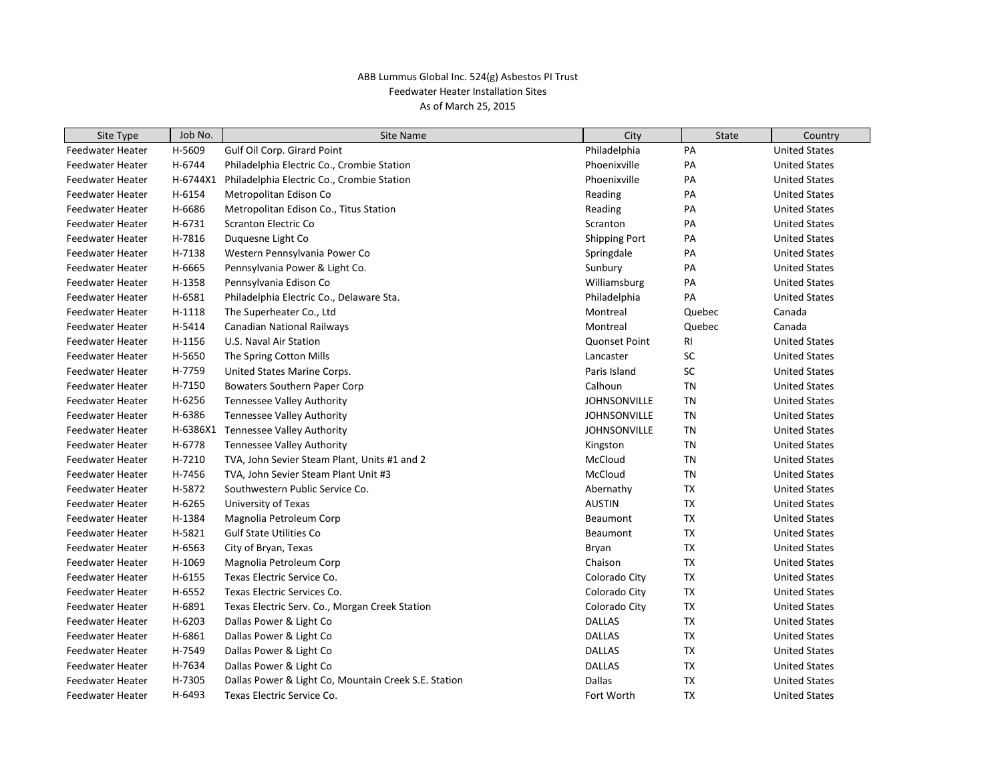| Site Type               | Job No.  | <b>Site Name</b>                                     | City                 | <b>State</b> | Country              |
|-------------------------|----------|------------------------------------------------------|----------------------|--------------|----------------------|
| <b>Feedwater Heater</b> | H-5609   | Gulf Oil Corp. Girard Point                          | Philadelphia         | PA           | <b>United States</b> |
| Feedwater Heater        | H-6744   | Philadelphia Electric Co., Crombie Station           | Phoenixville         | PA           | <b>United States</b> |
| Feedwater Heater        | H-6744X1 | Philadelphia Electric Co., Crombie Station           | Phoenixville         | PA           | <b>United States</b> |
| Feedwater Heater        | H-6154   | Metropolitan Edison Co                               | Reading              | PA           | <b>United States</b> |
| Feedwater Heater        | H-6686   | Metropolitan Edison Co., Titus Station               | Reading              | PA           | <b>United States</b> |
| Feedwater Heater        | H-6731   | <b>Scranton Electric Co</b>                          | Scranton             | PA           | <b>United States</b> |
| Feedwater Heater        | H-7816   | Duquesne Light Co                                    | <b>Shipping Port</b> | PA           | <b>United States</b> |
| Feedwater Heater        | H-7138   | Western Pennsylvania Power Co                        | Springdale           | PA           | <b>United States</b> |
| Feedwater Heater        | H-6665   | Pennsylvania Power & Light Co.                       | Sunbury              | PA           | <b>United States</b> |
| Feedwater Heater        | H-1358   | Pennsylvania Edison Co                               | Williamsburg         | PA           | <b>United States</b> |
| <b>Feedwater Heater</b> | H-6581   | Philadelphia Electric Co., Delaware Sta.             | Philadelphia         | PA           | <b>United States</b> |
| Feedwater Heater        | H-1118   | The Superheater Co., Ltd                             | Montreal             | Quebec       | Canada               |
| Feedwater Heater        | H-5414   | Canadian National Railways                           | Montreal             | Quebec       | Canada               |
| Feedwater Heater        | H-1156   | U.S. Naval Air Station                               | <b>Quonset Point</b> | <b>RI</b>    | <b>United States</b> |
| Feedwater Heater        | H-5650   | The Spring Cotton Mills                              | Lancaster            | SC           | <b>United States</b> |
| Feedwater Heater        | H-7759   | United States Marine Corps.                          | Paris Island         | SC           | <b>United States</b> |
| Feedwater Heater        | H-7150   | Bowaters Southern Paper Corp                         | Calhoun              | <b>TN</b>    | <b>United States</b> |
| Feedwater Heater        | H-6256   | Tennessee Valley Authority                           | <b>JOHNSONVILLE</b>  | TN           | <b>United States</b> |
| Feedwater Heater        | H-6386   | <b>Tennessee Valley Authority</b>                    | <b>JOHNSONVILLE</b>  | TN           | <b>United States</b> |
| Feedwater Heater        |          | H-6386X1 Tennessee Valley Authority                  | <b>JOHNSONVILLE</b>  | TN           | <b>United States</b> |
| Feedwater Heater        | H-6778   | <b>Tennessee Valley Authority</b>                    | Kingston             | <b>TN</b>    | <b>United States</b> |
| Feedwater Heater        | H-7210   | TVA, John Sevier Steam Plant, Units #1 and 2         | McCloud              | TN           | <b>United States</b> |
| Feedwater Heater        | H-7456   | TVA, John Sevier Steam Plant Unit #3                 | McCloud              | <b>TN</b>    | <b>United States</b> |
| Feedwater Heater        | H-5872   | Southwestern Public Service Co.                      | Abernathy            | <b>TX</b>    | <b>United States</b> |
| Feedwater Heater        | H-6265   | University of Texas                                  | <b>AUSTIN</b>        | <b>TX</b>    | <b>United States</b> |
| Feedwater Heater        | H-1384   | Magnolia Petroleum Corp                              | Beaumont             | <b>TX</b>    | <b>United States</b> |
| Feedwater Heater        | H-5821   | <b>Gulf State Utilities Co</b>                       | Beaumont             | TX           | <b>United States</b> |
| Feedwater Heater        | H-6563   | City of Bryan, Texas                                 | Bryan                | <b>TX</b>    | <b>United States</b> |
| <b>Feedwater Heater</b> | H-1069   | Magnolia Petroleum Corp                              | Chaison              | <b>TX</b>    | <b>United States</b> |
| Feedwater Heater        | H-6155   | Texas Electric Service Co.                           | Colorado City        | <b>TX</b>    | <b>United States</b> |
| Feedwater Heater        | H-6552   | Texas Electric Services Co.                          | Colorado City        | <b>TX</b>    | <b>United States</b> |
| Feedwater Heater        | H-6891   | Texas Electric Serv. Co., Morgan Creek Station       | Colorado City        | TX           | <b>United States</b> |
| Feedwater Heater        | H-6203   | Dallas Power & Light Co                              | <b>DALLAS</b>        | <b>TX</b>    | <b>United States</b> |
| Feedwater Heater        | H-6861   | Dallas Power & Light Co                              | <b>DALLAS</b>        | TX           | <b>United States</b> |
| Feedwater Heater        | H-7549   | Dallas Power & Light Co                              | <b>DALLAS</b>        | TX           | <b>United States</b> |
| Feedwater Heater        | H-7634   | Dallas Power & Light Co                              | <b>DALLAS</b>        | TX           | <b>United States</b> |
| Feedwater Heater        | H-7305   | Dallas Power & Light Co, Mountain Creek S.E. Station | <b>Dallas</b>        | <b>TX</b>    | <b>United States</b> |
| Feedwater Heater        | H-6493   | Texas Electric Service Co.                           | Fort Worth           | <b>TX</b>    | <b>United States</b> |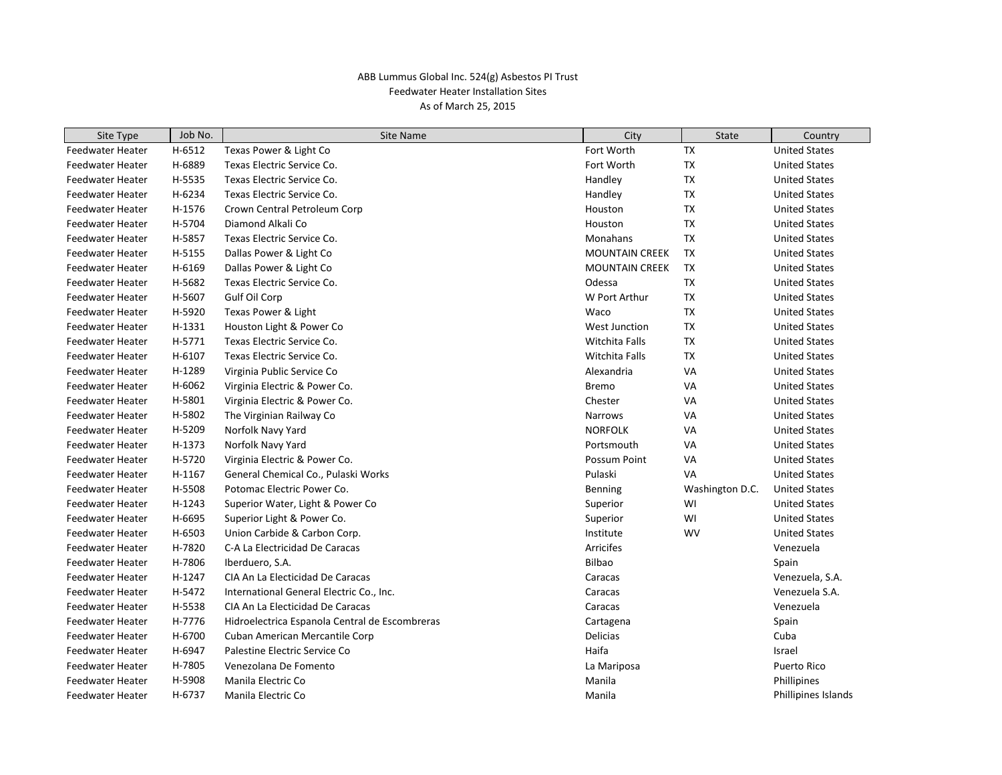| Site Type               | Job No. | Site Name                                      | City                  | <b>State</b>    | Country              |
|-------------------------|---------|------------------------------------------------|-----------------------|-----------------|----------------------|
| Feedwater Heater        | H-6512  | Texas Power & Light Co                         | Fort Worth            | <b>TX</b>       | <b>United States</b> |
| Feedwater Heater        | H-6889  | Texas Electric Service Co.                     | Fort Worth            | <b>TX</b>       | <b>United States</b> |
| Feedwater Heater        | H-5535  | Texas Electric Service Co.                     | Handley               | <b>TX</b>       | <b>United States</b> |
| <b>Feedwater Heater</b> | H-6234  | Texas Electric Service Co.                     | Handley               | TX              | <b>United States</b> |
| Feedwater Heater        | H-1576  | Crown Central Petroleum Corp                   | Houston               | TX              | <b>United States</b> |
| Feedwater Heater        | H-5704  | Diamond Alkali Co                              | Houston               | TX              | <b>United States</b> |
| Feedwater Heater        | H-5857  | Texas Electric Service Co.                     | Monahans              | <b>TX</b>       | <b>United States</b> |
| Feedwater Heater        | H-5155  | Dallas Power & Light Co                        | <b>MOUNTAIN CREEK</b> | <b>TX</b>       | <b>United States</b> |
| Feedwater Heater        | H-6169  | Dallas Power & Light Co                        | <b>MOUNTAIN CREEK</b> | <b>TX</b>       | <b>United States</b> |
| Feedwater Heater        | H-5682  | Texas Electric Service Co.                     | Odessa                | TX              | <b>United States</b> |
| Feedwater Heater        | H-5607  | Gulf Oil Corp                                  | W Port Arthur         | TX              | <b>United States</b> |
| Feedwater Heater        | H-5920  | Texas Power & Light                            | Waco                  | <b>TX</b>       | <b>United States</b> |
| Feedwater Heater        | H-1331  | Houston Light & Power Co                       | <b>West Junction</b>  | <b>TX</b>       | <b>United States</b> |
| Feedwater Heater        | H-5771  | Texas Electric Service Co.                     | Witchita Falls        | <b>TX</b>       | <b>United States</b> |
| Feedwater Heater        | H-6107  | Texas Electric Service Co.                     | Witchita Falls        | TX              | <b>United States</b> |
| Feedwater Heater        | H-1289  | Virginia Public Service Co                     | Alexandria            | VA              | <b>United States</b> |
| <b>Feedwater Heater</b> | H-6062  | Virginia Electric & Power Co.                  | <b>Bremo</b>          | VA              | <b>United States</b> |
| Feedwater Heater        | H-5801  | Virginia Electric & Power Co.                  | Chester               | VA              | <b>United States</b> |
| Feedwater Heater        | H-5802  | The Virginian Railway Co                       | Narrows               | VA              | <b>United States</b> |
| Feedwater Heater        | H-5209  | Norfolk Navy Yard                              | <b>NORFOLK</b>        | VA              | <b>United States</b> |
| Feedwater Heater        | H-1373  | Norfolk Navy Yard                              | Portsmouth            | VA              | <b>United States</b> |
| Feedwater Heater        | H-5720  | Virginia Electric & Power Co.                  | Possum Point          | VA              | <b>United States</b> |
| Feedwater Heater        | H-1167  | General Chemical Co., Pulaski Works            | Pulaski               | <b>VA</b>       | <b>United States</b> |
| <b>Feedwater Heater</b> | H-5508  | Potomac Electric Power Co.                     | Benning               | Washington D.C. | <b>United States</b> |
| Feedwater Heater        | H-1243  | Superior Water, Light & Power Co.              | Superior              | WI              | <b>United States</b> |
| Feedwater Heater        | H-6695  | Superior Light & Power Co.                     | Superior              | WI              | <b>United States</b> |
| Feedwater Heater        | H-6503  | Union Carbide & Carbon Corp.                   | Institute             | <b>WV</b>       | <b>United States</b> |
| <b>Feedwater Heater</b> | H-7820  | C-A La Electricidad De Caracas                 | <b>Arricifes</b>      |                 | Venezuela            |
| Feedwater Heater        | H-7806  | Iberduero, S.A.                                | <b>Bilbao</b>         |                 | Spain                |
| Feedwater Heater        | H-1247  | CIA An La Electicidad De Caracas               | Caracas               |                 | Venezuela, S.A.      |
| Feedwater Heater        | H-5472  | International General Electric Co., Inc.       | Caracas               |                 | Venezuela S.A.       |
| Feedwater Heater        | H-5538  | CIA An La Electicidad De Caracas               | Caracas               |                 | Venezuela            |
| Feedwater Heater        | H-7776  | Hidroelectrica Espanola Central de Escombreras | Cartagena             |                 | Spain                |
| Feedwater Heater        | H-6700  | Cuban American Mercantile Corp                 | Delicias              |                 | Cuba                 |
| Feedwater Heater        | H-6947  | Palestine Electric Service Co                  | Haifa                 |                 | Israel               |
| <b>Feedwater Heater</b> | H-7805  | Venezolana De Fomento                          | La Mariposa           |                 | Puerto Rico          |
| <b>Feedwater Heater</b> | H-5908  | Manila Electric Co                             | Manila                |                 | Phillipines          |
| <b>Feedwater Heater</b> | H-6737  | Manila Electric Co                             | Manila                |                 | Phillipines Islands  |